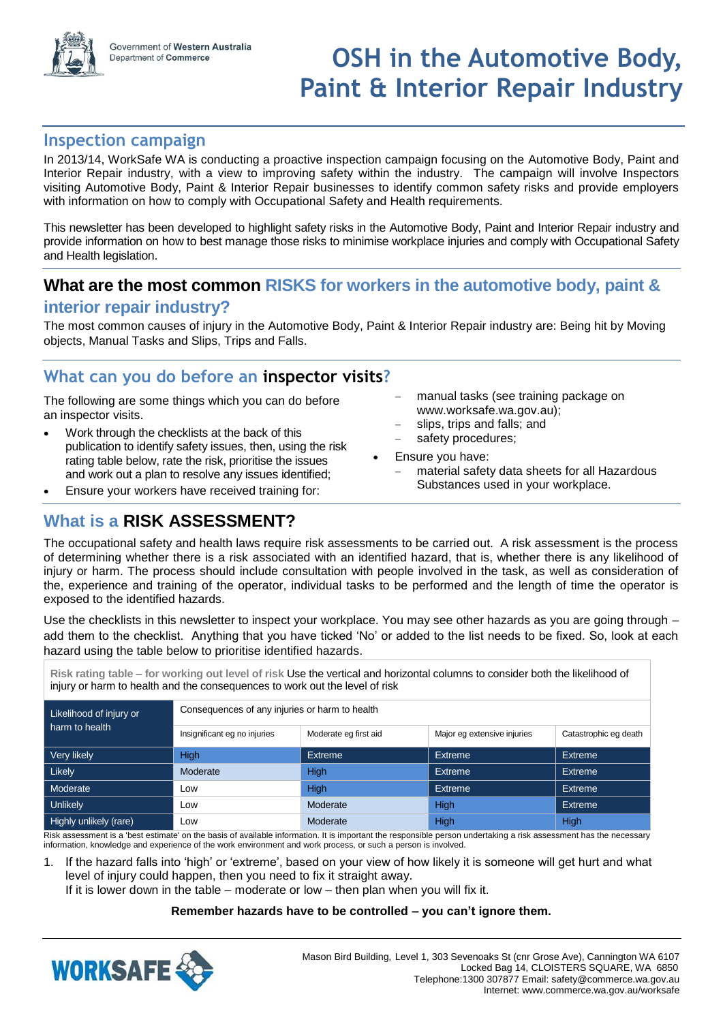

## **OSH in the Automotive Body, Paint & Interior Repair Industry**

## **Inspection campaign**

In 2013/14, WorkSafe WA is conducting a proactive inspection campaign focusing on the Automotive Body, Paint and Interior Repair industry, with a view to improving safety within the industry. The campaign will involve Inspectors visiting Automotive Body, Paint & Interior Repair businesses to identify common safety risks and provide employers with information on how to comply with Occupational Safety and Health requirements.

This newsletter has been developed to highlight safety risks in the Automotive Body, Paint and Interior Repair industry and provide information on how to best manage those risks to minimise workplace injuries and comply with Occupational Safety and Health legislation.

## **What are the most common RISKS for workers in the automotive body, paint &**

## **interior repair industry?**

The most common causes of injury in the Automotive Body, Paint & Interior Repair industry are: Being hit by Moving objects, Manual Tasks and Slips, Trips and Falls.

## **What can you do before an inspector visits?**

The following are some things which you can do before an inspector visits.

- Work through the checklists at the back of this publication to identify safety issues, then, using the risk rating table below, rate the risk, prioritise the issues and work out a plan to resolve any issues identified;
- Ensure your workers have received training for:
- manual tasks (see training package on www.worksafe.wa.gov.au);
- slips, trips and falls; and
- safety procedures;
- Ensure you have:
	- material safety data sheets for all Hazardous Substances used in your workplace.

## **What is a RISK ASSESSMENT?**

The occupational safety and health laws require risk assessments to be carried out. A risk assessment is the process of determining whether there is a risk associated with an identified hazard, that is, whether there is any likelihood of injury or harm. The process should include consultation with people involved in the task, as well as consideration of the, experience and training of the operator, individual tasks to be performed and the length of time the operator is exposed to the identified hazards.

Use the checklists in this newsletter to inspect your workplace. You may see other hazards as you are going through – add them to the checklist. Anything that you have ticked 'No' or added to the list needs to be fixed. So, look at each hazard using the table below to prioritise identified hazards.

**Risk rating table – for working out level of risk** Use the vertical and horizontal columns to consider both the likelihood of injury or harm to health and the consequences to work out the level of risk

| Likelihood of injury or | Consequences of any injuries or harm to health |                       |                             |                       |  |
|-------------------------|------------------------------------------------|-----------------------|-----------------------------|-----------------------|--|
| harm to health          | Insignificant eg no injuries                   | Moderate eg first aid | Major eg extensive injuries | Catastrophic eg death |  |
| Very likely             | <b>High</b>                                    | Extreme               | Extreme                     | Extreme               |  |
| Likely                  | Moderate                                       | High                  | <b>Extreme</b>              | Extreme               |  |
| Moderate                | LOW                                            | High                  | Extreme                     | <b>Extreme</b>        |  |
| Unlikely                | Low                                            | Moderate              | High                        | Extreme               |  |
| Highly unlikely (rare)  | Low                                            | Moderate              | High                        | High                  |  |

Risk assessment is a 'best estimate' on the basis of available information. It is important the responsible person undertaking a risk assessment has the necessary information, knowledge and experience of the work environment and work process, or such a person is involved.

1. If the hazard falls into 'high' or 'extreme', based on your view of how likely it is someone will get hurt and what level of injury could happen, then you need to fix it straight away.

If it is lower down in the table – moderate or low – then plan when you will fix it.

#### **Remember hazards have to be controlled – you can't ignore them.**

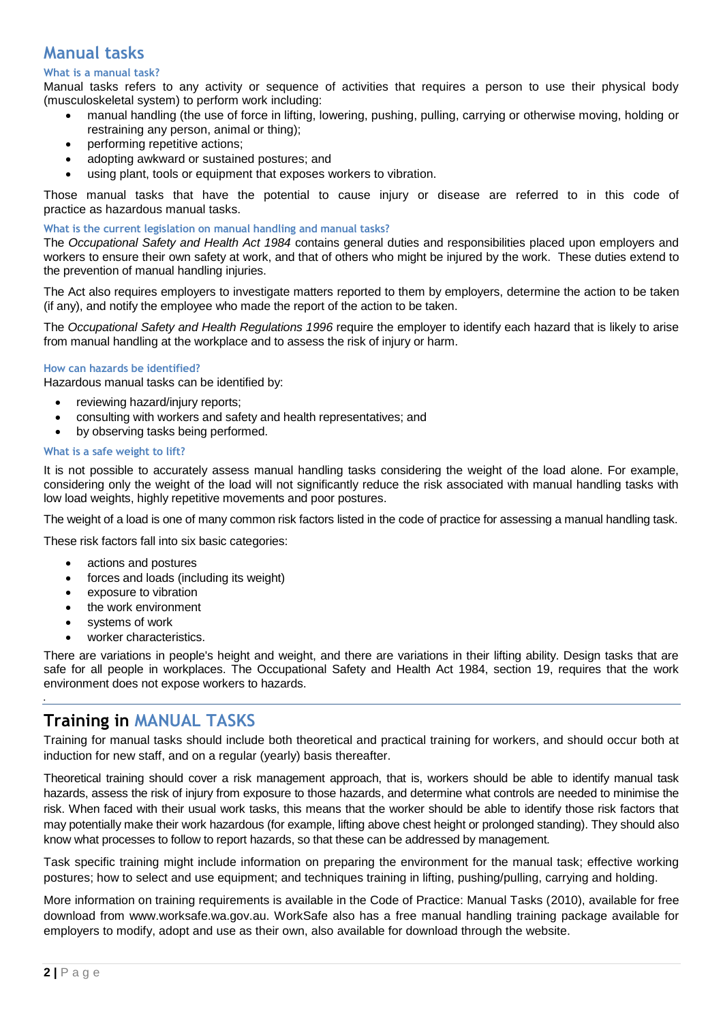## **Manual tasks**

#### **What is a manual task?**

Manual tasks refers to any activity or sequence of activities that requires a person to use their physical body (musculoskeletal system) to perform work including:

- manual handling (the use of force in lifting, lowering, pushing, pulling, carrying or otherwise moving, holding or restraining any person, animal or thing);
- performing repetitive actions;
- adopting awkward or sustained postures; and
- using plant, tools or equipment that exposes workers to vibration.

Those manual tasks that have the potential to cause injury or disease are referred to in this code of practice as hazardous manual tasks.

#### **What is the current legislation on manual handling and manual tasks?**

The *Occupational Safety and Health Act 1984* contains general duties and responsibilities placed upon employers and workers to ensure their own safety at work, and that of others who might be injured by the work. These duties extend to the prevention of manual handling injuries.

The Act also requires employers to investigate matters reported to them by employers, determine the action to be taken (if any), and notify the employee who made the report of the action to be taken.

The *Occupational Safety and Health Regulations 1996* require the employer to identify each hazard that is likely to arise from manual handling at the workplace and to assess the risk of injury or harm.

#### **How can hazards be identified?**

Hazardous manual tasks can be identified by:

- reviewing hazard/injury reports;
- consulting with workers and safety and health representatives; and
- by observing tasks being performed.

#### **What is a safe weight to lift?**

It is not possible to accurately assess manual handling tasks considering the weight of the load alone. For example, considering only the weight of the load will not significantly reduce the risk associated with manual handling tasks with low load weights, highly repetitive movements and poor postures.

The weight of a load is one of many common risk factors listed in the code of practice for assessing a manual handling task.

These risk factors fall into six basic categories:

- actions and postures
- forces and loads (including its weight)
- exposure to vibration
- the work environment
- systems of work
- worker characteristics.

There are variations in people's height and weight, and there are variations in their lifting ability. Design tasks that are safe for all people in workplaces. The Occupational Safety and Health Act 1984, section 19, requires that the work environment does not expose workers to hazards.

## **Training in MANUAL TASKS**

Training for manual tasks should include both theoretical and practical training for workers, and should occur both at induction for new staff, and on a regular (yearly) basis thereafter.

Theoretical training should cover a risk management approach, that is, workers should be able to identify manual task hazards, assess the risk of injury from exposure to those hazards, and determine what controls are needed to minimise the risk. When faced with their usual work tasks, this means that the worker should be able to identify those risk factors that may potentially make their work hazardous (for example, lifting above chest height or prolonged standing). They should also know what processes to follow to report hazards, so that these can be addressed by management.

Task specific training might include information on preparing the environment for the manual task; effective working postures; how to select and use equipment; and techniques training in lifting, pushing/pulling, carrying and holding.

More information on training requirements is available in the Code of Practice: Manual Tasks (2010), available for free download from www.worksafe.wa.gov.au. WorkSafe also has a free manual handling training package available for employers to modify, adopt and use as their own, also available for download through the website.

۰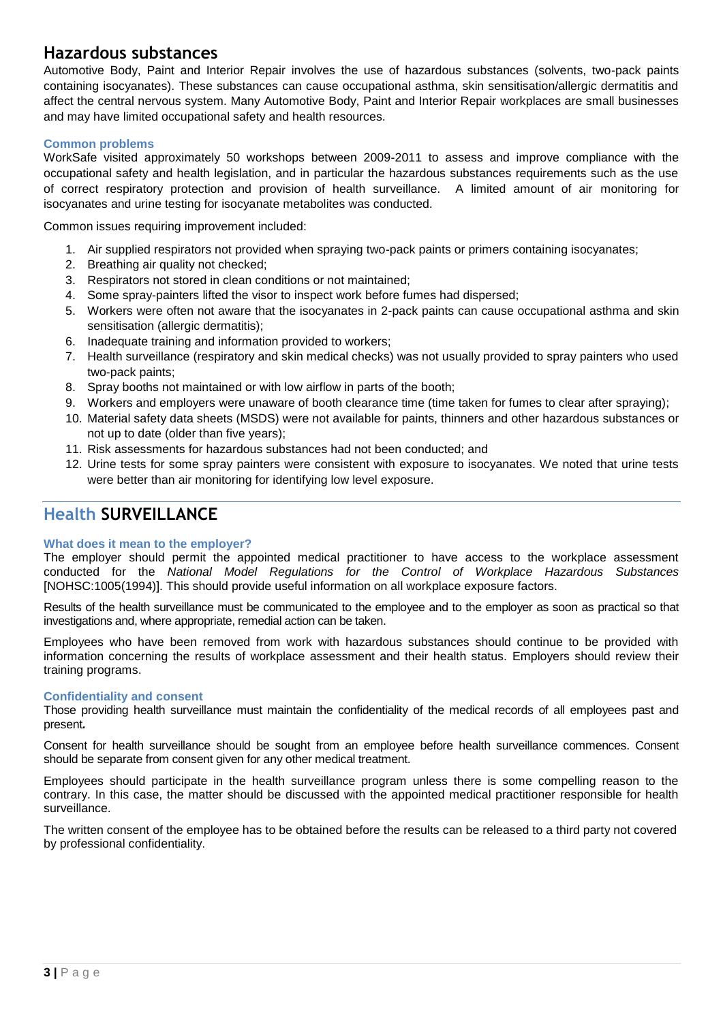## **Hazardous substances**

Automotive Body, Paint and Interior Repair involves the use of hazardous substances (solvents, two-pack paints containing isocyanates). These substances can cause occupational asthma, skin sensitisation/allergic dermatitis and affect the central nervous system. Many Automotive Body, Paint and Interior Repair workplaces are small businesses and may have limited occupational safety and health resources.

#### **Common problems**

WorkSafe visited approximately 50 workshops between 2009-2011 to assess and improve compliance with the occupational safety and health legislation, and in particular the hazardous substances requirements such as the use of correct respiratory protection and provision of health surveillance. A limited amount of air monitoring for isocyanates and urine testing for isocyanate metabolites was conducted.

Common issues requiring improvement included:

- 1. Air supplied respirators not provided when spraying two-pack paints or primers containing isocyanates;
- 2. Breathing air quality not checked;
- 3. Respirators not stored in clean conditions or not maintained;
- 4. Some spray-painters lifted the visor to inspect work before fumes had dispersed;
- 5. Workers were often not aware that the isocyanates in 2-pack paints can cause occupational asthma and skin sensitisation (allergic dermatitis);
- 6. Inadequate training and information provided to workers;
- 7. Health surveillance (respiratory and skin medical checks) was not usually provided to spray painters who used two-pack paints;
- 8. Spray booths not maintained or with low airflow in parts of the booth;
- 9. Workers and employers were unaware of booth clearance time (time taken for fumes to clear after spraying);
- 10. Material safety data sheets (MSDS) were not available for paints, thinners and other hazardous substances or not up to date (older than five years);
- 11. Risk assessments for hazardous substances had not been conducted; and
- 12. Urine tests for some spray painters were consistent with exposure to isocyanates. We noted that urine tests were better than air monitoring for identifying low level exposure.

## **Health SURVEILLANCE**

#### **What does it mean to the employer?**

The employer should permit the appointed medical practitioner to have access to the workplace assessment conducted for the *National Model Regulations for the Control of Workplace Hazardous Substances*  [NOHSC:1005(1994)]. This should provide useful information on all workplace exposure factors.

Results of the health surveillance must be communicated to the employee and to the employer as soon as practical so that investigations and, where appropriate, remedial action can be taken.

Employees who have been removed from work with hazardous substances should continue to be provided with information concerning the results of workplace assessment and their health status. Employers should review their training programs.

#### **Confidentiality and consent**

Those providing health surveillance must maintain the confidentiality of the medical records of all employees past and present*.*

Consent for health surveillance should be sought from an employee before health surveillance commences. Consent should be separate from consent given for any other medical treatment.

Employees should participate in the health surveillance program unless there is some compelling reason to the contrary. In this case, the matter should be discussed with the appointed medical practitioner responsible for health surveillance.

The written consent of the employee has to be obtained before the results can be released to a third party not covered by professional confidentiality.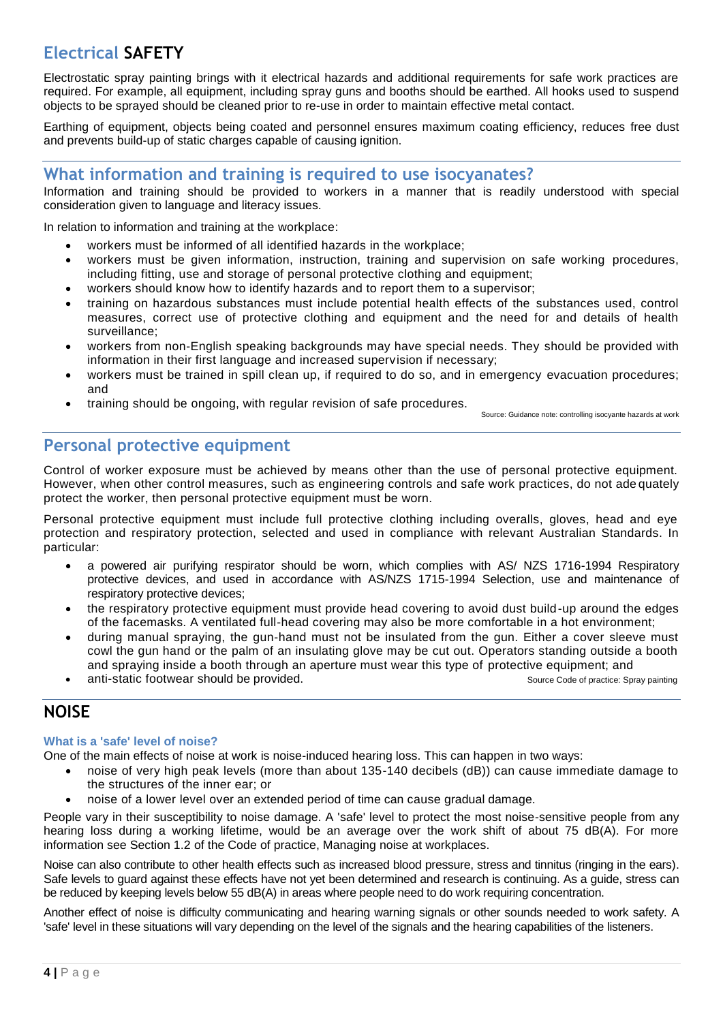## **Electrical SAFETY**

Electrostatic spray painting brings with it electrical hazards and additional requirements for safe work practices are required. For example, all equipment, including spray guns and booths should be earthed. All hooks used to suspend objects to be sprayed should be cleaned prior to re-use in order to maintain effective metal contact.

Earthing of equipment, objects being coated and personnel ensures maximum coating efficiency, reduces free dust and prevents build-up of static charges capable of causing ignition.

## **What information and training is required to use isocyanates?**

Information and training should be provided to workers in a manner that is readily understood with special consideration given to language and literacy issues.

In relation to information and training at the workplace:

- workers must be informed of all identified hazards in the workplace;
- workers must be given information, instruction, training and supervision on safe working procedures, including fitting, use and storage of personal protective clothing and equipment;
- workers should know how to identify hazards and to report them to a supervisor;
- training on hazardous substances must include potential health effects of the substances used, control measures, correct use of protective clothing and equipment and the need for and details of health surveillance;
- workers from non-English speaking backgrounds may have special needs. They should be provided with information in their first language and increased supervision if necessary;
- workers must be trained in spill clean up, if required to do so, and in emergency evacuation procedures; and
- training should be ongoing, with regular revision of safe procedures.

Source: Guidance note: controlling isocyante hazards at work

## **Personal protective equipment**

Control of worker exposure must be achieved by means other than the use of personal protective equipment. However, when other control measures, such as engineering controls and safe work practices, do not ade quately protect the worker, then personal protective equipment must be worn.

Personal protective equipment must include full protective clothing including overalls, gloves, head and eye protection and respiratory protection, selected and used in compliance with relevant Australian Standards. In particular:

- a powered air purifying respirator should be worn, which complies with AS/ NZS 1716-1994 Respiratory protective devices, and used in accordance with AS/NZS 1715-1994 Selection, use and maintenance of respiratory protective devices;
- the respiratory protective equipment must provide head covering to avoid dust build-up around the edges of the facemasks. A ventilated full-head covering may also be more comfortable in a hot environment;
- during manual spraying, the gun-hand must not be insulated from the gun. Either a cover sleeve must cowl the gun hand or the palm of an insulating glove may be cut out. Operators standing outside a booth and spraying inside a booth through an aperture must wear this type of protective equipment; and
- anti-static footwear should be provided. The static spray painting source Code of practice: Spray painting

## **NOISE**

#### **What is a 'safe' level of noise?**

One of the main effects of noise at work is noise-induced hearing loss. This can happen in two ways:

- noise of very high peak levels (more than about 135-140 decibels (dB)) can cause immediate damage to the structures of the inner ear; or
- noise of a lower level over an extended period of time can cause gradual damage.

People vary in their susceptibility to noise damage. A 'safe' level to protect the most noise-sensitive people from any hearing loss during a working lifetime, would be an average over the work shift of about 75 dB(A). For more information see Section 1.2 of the Code of practice, Managing noise at workplaces.

Noise can also contribute to other health effects such as increased blood pressure, stress and tinnitus (ringing in the ears). Safe levels to guard against these effects have not yet been determined and research is continuing. As a guide, stress can be reduced by keeping levels below 55 dB(A) in areas where people need to do work requiring concentration.

Another effect of noise is difficulty communicating and hearing warning signals or other sounds needed to work safety. A 'safe' level in these situations will vary depending on the level of the signals and the hearing capabilities of the listeners.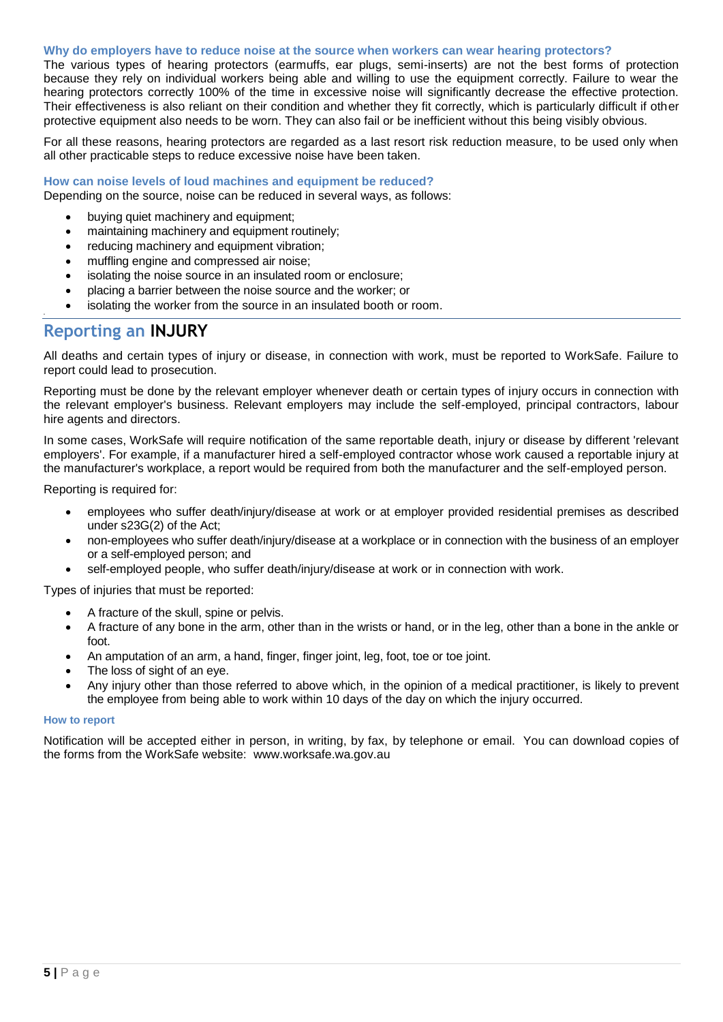#### **Why do employers have to reduce noise at the source when workers can wear hearing protectors?**

The various types of hearing protectors (earmuffs, ear plugs, semi-inserts) are not the best forms of protection because they rely on individual workers being able and willing to use the equipment correctly. Failure to wear the hearing protectors correctly 100% of the time in excessive noise will significantly decrease the effective protection. Their effectiveness is also reliant on their condition and whether they fit correctly, which is particularly difficult if other protective equipment also needs to be worn. They can also fail or be inefficient without this being visibly obvious.

For all these reasons, hearing protectors are regarded as a last resort risk reduction measure, to be used only when all other practicable steps to reduce excessive noise have been taken.

#### **How can noise levels of loud machines and equipment be reduced?**

Depending on the source, noise can be reduced in several ways, as follows:

- buying quiet machinery and equipment;
- maintaining machinery and equipment routinely;
- reducing machinery and equipment vibration;
- muffling engine and compressed air noise;
- isolating the noise source in an insulated room or enclosure;
- placing a barrier between the noise source and the worker; or
- isolating the worker from the source in an insulated booth or room.

## **Reporting an INJURY**

•

All deaths and certain types of injury or disease, in connection with work, must be reported to WorkSafe. Failure to report could lead to prosecution.

Reporting must be done by the relevant employer whenever death or certain types of injury occurs in connection with the relevant employer's business. Relevant employers may include the self-employed, principal contractors, labour hire agents and directors.

In some cases, WorkSafe will require notification of the same reportable death, injury or disease by different 'relevant employers'. For example, if a manufacturer hired a self-employed contractor whose work caused a reportable injury at the manufacturer's workplace, a report would be required from both the manufacturer and the self-employed person.

Reporting is required for:

- employees who suffer death/injury/disease at work or at employer provided residential premises as described under s23G(2) of the Act;
- non-employees who suffer death/injury/disease at a workplace or in connection with the business of an employer or a self-employed person; and
- self-employed people, who suffer death/injury/disease at work or in connection with work.

Types of injuries that must be reported:

- A fracture of the skull, spine or pelvis.
- A fracture of any bone in the arm, other than in the wrists or hand, or in the leg, other than a bone in the ankle or foot.
- An amputation of an arm, a hand, finger, finger joint, leg, foot, toe or toe joint.
- The loss of sight of an eye.
- Any injury other than those referred to above which, in the opinion of a medical practitioner, is likely to prevent the employee from being able to work within 10 days of the day on which the injury occurred.

#### **How to report**

Notification will be accepted either in person, in writing, by fax, by telephone or email. You can download copies of the forms from the WorkSafe website: www.worksafe.wa.gov.au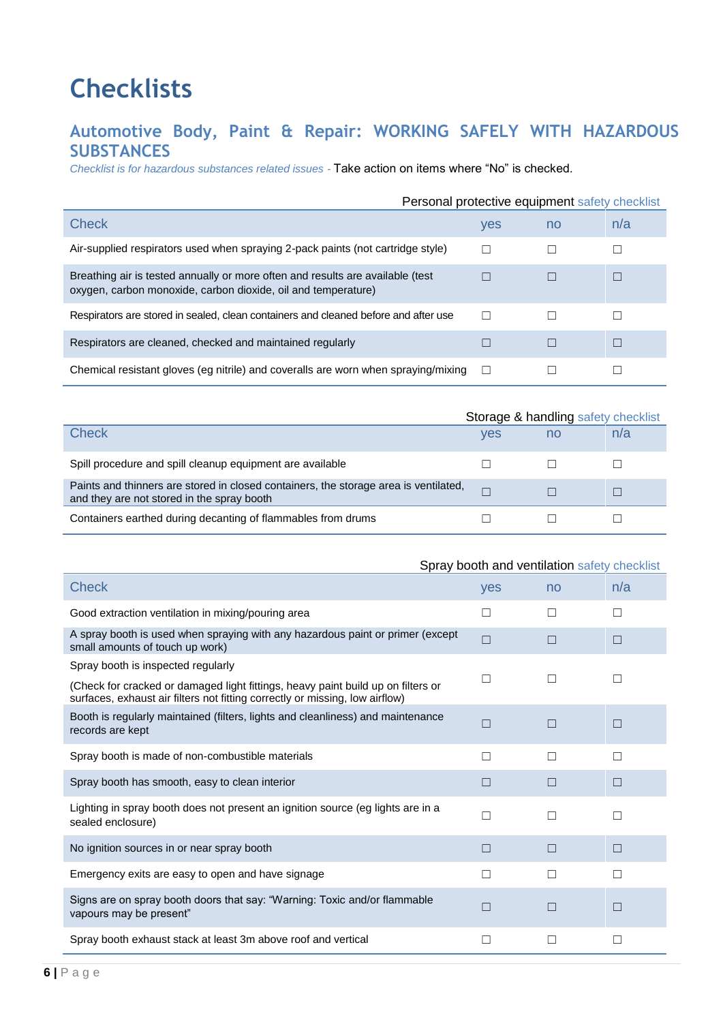# **Checklists**

## **Automotive Body, Paint & Repair: WORKING SAFELY WITH HAZARDOUS SUBSTANCES**

*Checklist is for hazardous substances related issues -* Take action on items where "No" is checked.

|                                                                                                                                                 |        |    | Personal protective equipment safety checklist |
|-------------------------------------------------------------------------------------------------------------------------------------------------|--------|----|------------------------------------------------|
| Check                                                                                                                                           | yes    | no | n/a                                            |
| Air-supplied respirators used when spraying 2-pack paints (not cartridge style)                                                                 |        |    |                                                |
| Breathing air is tested annually or more often and results are available (test<br>oxygen, carbon monoxide, carbon dioxide, oil and temperature) |        |    |                                                |
| Respirators are stored in sealed, clean containers and cleaned before and after use                                                             |        |    |                                                |
| Respirators are cleaned, checked and maintained regularly                                                                                       |        |    |                                                |
| Chemical resistant gloves (eg nitrile) and coveralls are worn when spraying/mixing                                                              | $\Box$ |    |                                                |

|                                                                                                                                    |            | Storage & handling safety checklist |     |  |
|------------------------------------------------------------------------------------------------------------------------------------|------------|-------------------------------------|-----|--|
| Check                                                                                                                              | <b>ves</b> | no                                  | n/a |  |
| Spill procedure and spill cleanup equipment are available                                                                          |            |                                     |     |  |
| Paints and thinners are stored in closed containers, the storage area is ventilated,<br>and they are not stored in the spray booth |            |                                     |     |  |
| Containers earthed during decanting of flammables from drums                                                                       |            |                                     |     |  |

|                                                                                                                                                                  | $\mathcal{L}$ |              |              |
|------------------------------------------------------------------------------------------------------------------------------------------------------------------|---------------|--------------|--------------|
| <b>Check</b>                                                                                                                                                     | yes           | no           | n/a          |
| Good extraction ventilation in mixing/pouring area                                                                                                               | П             | Ш            | $\mathbf{1}$ |
| A spray booth is used when spraying with any hazardous paint or primer (except<br>small amounts of touch up work)                                                | $\Box$        | L            | П            |
| Spray booth is inspected regularly                                                                                                                               |               |              |              |
| (Check for cracked or damaged light fittings, heavy paint build up on filters or<br>surfaces, exhaust air filters not fitting correctly or missing, low airflow) | П             | $\mathbf{I}$ |              |
| Booth is regularly maintained (filters, lights and cleanliness) and maintenance<br>records are kept                                                              | П             |              | П            |
| Spray booth is made of non-combustible materials                                                                                                                 | П             | П            | П            |
| Spray booth has smooth, easy to clean interior                                                                                                                   | Ш             |              | $\mathsf{L}$ |
| Lighting in spray booth does not present an ignition source (eg lights are in a<br>sealed enclosure)                                                             | П             |              |              |
| No ignition sources in or near spray booth                                                                                                                       | П             | П            | П            |
| Emergency exits are easy to open and have signage                                                                                                                | П             |              |              |
| Signs are on spray booth doors that say: "Warning: Toxic and/or flammable<br>vapours may be present"                                                             | П             | L            | П            |
| Spray booth exhaust stack at least 3m above roof and vertical                                                                                                    | □             | Ш            | П            |

#### Spray booth and ventilation safety checklist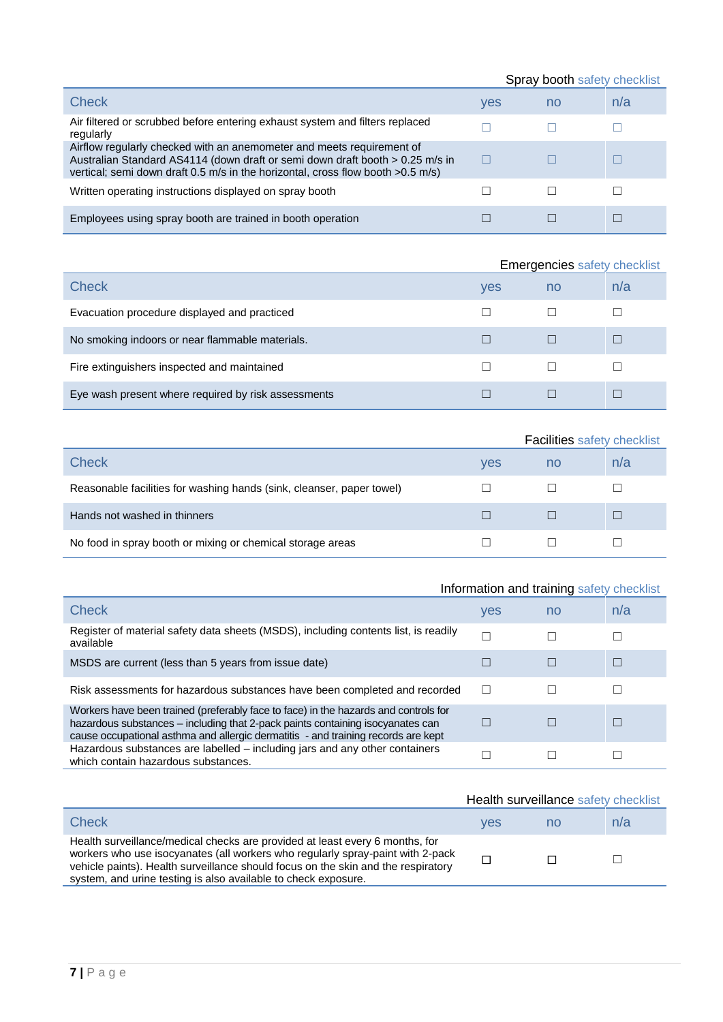|                                                                                                                                                                                                                                             | Spray booth safety checklist |    |     |
|---------------------------------------------------------------------------------------------------------------------------------------------------------------------------------------------------------------------------------------------|------------------------------|----|-----|
| Check                                                                                                                                                                                                                                       | yes                          | no | n/a |
| Air filtered or scrubbed before entering exhaust system and filters replaced<br>regularly                                                                                                                                                   |                              |    |     |
| Airflow regularly checked with an anemometer and meets requirement of<br>Australian Standard AS4114 (down draft or semi down draft booth > 0.25 m/s in<br>vertical; semi down draft 0.5 m/s in the horizontal, cross flow booth $>0.5$ m/s) | H                            |    |     |
| Written operating instructions displayed on spray booth                                                                                                                                                                                     |                              |    |     |
| Employees using spray booth are trained in booth operation                                                                                                                                                                                  |                              |    |     |

|                                                     | <b>Emergencies safety checklist</b> |    |     |
|-----------------------------------------------------|-------------------------------------|----|-----|
| <b>Check</b>                                        | yes                                 | no | n/a |
| Evacuation procedure displayed and practiced        |                                     |    |     |
| No smoking indoors or near flammable materials.     |                                     |    |     |
| Fire extinguishers inspected and maintained         |                                     |    |     |
| Eye wash present where required by risk assessments |                                     |    |     |

|                                                                       |            | <b>Facilities safety checklist</b> |     |  |
|-----------------------------------------------------------------------|------------|------------------------------------|-----|--|
| Check                                                                 | <b>ves</b> | no                                 | n/a |  |
| Reasonable facilities for washing hands (sink, cleanser, paper towel) |            |                                    |     |  |
| Hands not washed in thinners                                          |            |                                    |     |  |
| No food in spray booth or mixing or chemical storage areas            |            |                                    |     |  |

| Information and training safety checklist                                                                                                                                                                                                                  |     |    |     |
|------------------------------------------------------------------------------------------------------------------------------------------------------------------------------------------------------------------------------------------------------------|-----|----|-----|
| <b>Check</b>                                                                                                                                                                                                                                               | yes | no | n/a |
| Register of material safety data sheets (MSDS), including contents list, is readily<br>available                                                                                                                                                           |     |    |     |
| MSDS are current (less than 5 years from issue date)                                                                                                                                                                                                       |     |    |     |
| Risk assessments for hazardous substances have been completed and recorded                                                                                                                                                                                 | L   |    |     |
| Workers have been trained (preferably face to face) in the hazards and controls for<br>hazardous substances – including that 2-pack paints containing isocyanates can<br>cause occupational asthma and allergic dermatitis - and training records are kept |     |    |     |
| Hazardous substances are labelled – including jars and any other containers<br>which contain hazardous substances.                                                                                                                                         |     |    |     |

|                                                                                                                                                                                                                                                                                                                       | Health surveillance safety checklist |    |     |
|-----------------------------------------------------------------------------------------------------------------------------------------------------------------------------------------------------------------------------------------------------------------------------------------------------------------------|--------------------------------------|----|-----|
| Check                                                                                                                                                                                                                                                                                                                 | ves                                  | no | n/a |
| Health surveillance/medical checks are provided at least every 6 months, for<br>workers who use isocyanates (all workers who regularly spray-paint with 2-pack<br>vehicle paints). Health surveillance should focus on the skin and the respiratory<br>system, and urine testing is also available to check exposure. |                                      |    |     |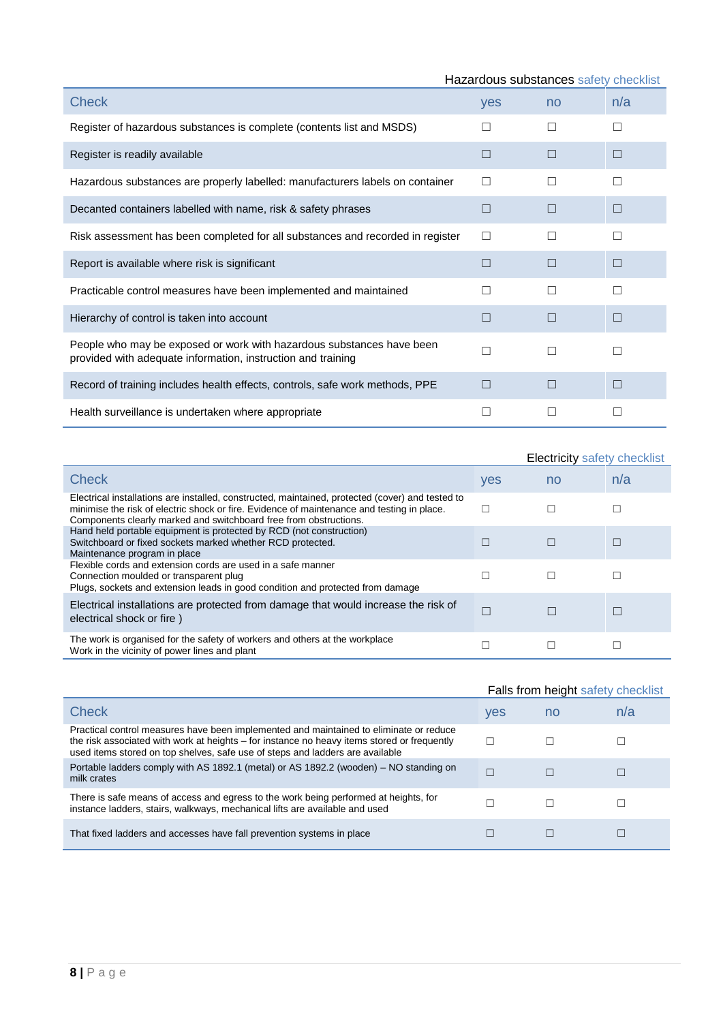| Hazardous substances safety checklist                                                                                                 |     |              |     |  |
|---------------------------------------------------------------------------------------------------------------------------------------|-----|--------------|-----|--|
| <b>Check</b>                                                                                                                          | yes | no           | n/a |  |
| Register of hazardous substances is complete (contents list and MSDS)                                                                 |     |              | П   |  |
| Register is readily available                                                                                                         |     |              | ш   |  |
| Hazardous substances are properly labelled: manufacturers labels on container                                                         |     |              |     |  |
| Decanted containers labelled with name, risk & safety phrases                                                                         | L   | Ш            | П   |  |
| Risk assessment has been completed for all substances and recorded in register                                                        | П   | H            | П   |  |
| Report is available where risk is significant                                                                                         | ш   | П            | П   |  |
| Practicable control measures have been implemented and maintained                                                                     | П   | $\mathbf{I}$ | П   |  |
| Hierarchy of control is taken into account                                                                                            | ш   | П            | П   |  |
| People who may be exposed or work with hazardous substances have been<br>provided with adequate information, instruction and training |     |              |     |  |
| Record of training includes health effects, controls, safe work methods, PPE                                                          | ┍   | □            | □   |  |
| Health surveillance is undertaken where appropriate                                                                                   |     |              |     |  |

|                                                                                                                                                                                                                                                                     |     | <b>Electricity safety checklist</b> |     |  |
|---------------------------------------------------------------------------------------------------------------------------------------------------------------------------------------------------------------------------------------------------------------------|-----|-------------------------------------|-----|--|
| <b>Check</b>                                                                                                                                                                                                                                                        | yes | no                                  | n/a |  |
| Electrical installations are installed, constructed, maintained, protected (cover) and tested to<br>minimise the risk of electric shock or fire. Evidence of maintenance and testing in place.<br>Components clearly marked and switchboard free from obstructions. |     |                                     |     |  |
| Hand held portable equipment is protected by RCD (not construction)<br>Switchboard or fixed sockets marked whether RCD protected.<br>Maintenance program in place                                                                                                   |     |                                     |     |  |
| Flexible cords and extension cords are used in a safe manner<br>Connection moulded or transparent plug<br>Plugs, sockets and extension leads in good condition and protected from damage                                                                            |     |                                     |     |  |
| Electrical installations are protected from damage that would increase the risk of<br>electrical shock or fire)                                                                                                                                                     |     |                                     |     |  |
| The work is organised for the safety of workers and others at the workplace<br>Work in the vicinity of power lines and plant                                                                                                                                        |     |                                     |     |  |

|                                                                                                                                                                                                                                                                        | Falls from height safety checklist |    |     |
|------------------------------------------------------------------------------------------------------------------------------------------------------------------------------------------------------------------------------------------------------------------------|------------------------------------|----|-----|
| Check                                                                                                                                                                                                                                                                  | yes                                | no | n/a |
| Practical control measures have been implemented and maintained to eliminate or reduce<br>the risk associated with work at heights – for instance no heavy items stored or frequently<br>used items stored on top shelves, safe use of steps and ladders are available |                                    |    |     |
| Portable ladders comply with AS 1892.1 (metal) or AS 1892.2 (wooden) – NO standing on<br>milk crates                                                                                                                                                                   |                                    |    |     |
| There is safe means of access and egress to the work being performed at heights, for<br>instance ladders, stairs, walkways, mechanical lifts are available and used                                                                                                    |                                    |    |     |
| That fixed ladders and accesses have fall prevention systems in place                                                                                                                                                                                                  |                                    |    |     |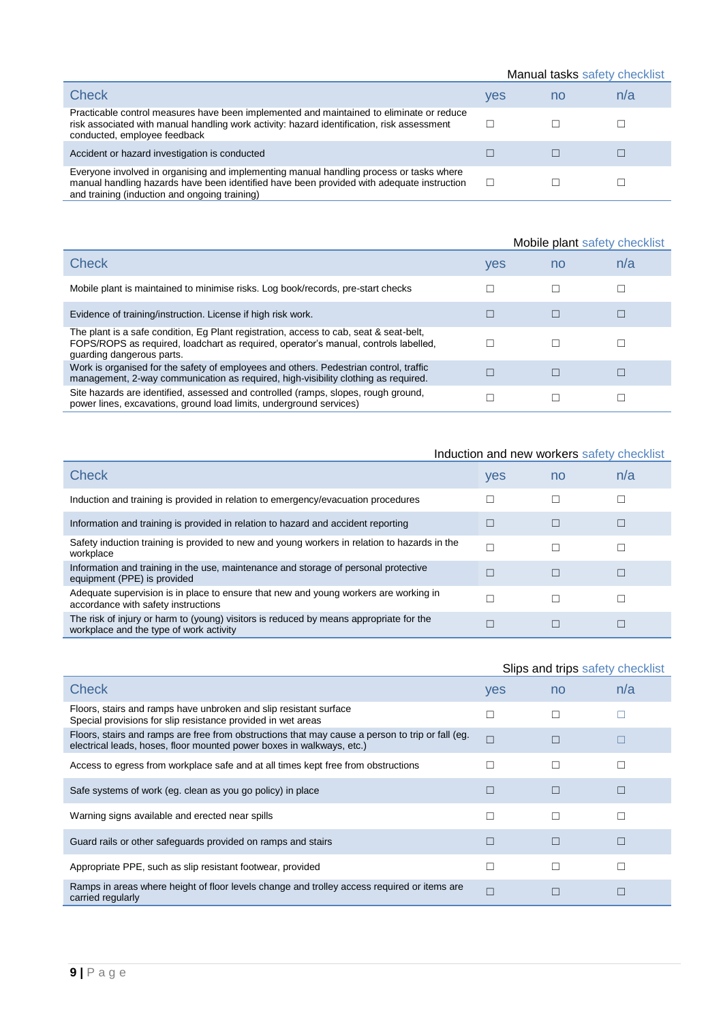|                                                                                                                                                                                                                                       | Manual tasks safety checklist |    |     |
|---------------------------------------------------------------------------------------------------------------------------------------------------------------------------------------------------------------------------------------|-------------------------------|----|-----|
| <b>Check</b>                                                                                                                                                                                                                          | yes                           | no | n/a |
| Practicable control measures have been implemented and maintained to eliminate or reduce<br>risk associated with manual handling work activity: hazard identification, risk assessment<br>conducted, employee feedback                |                               |    |     |
| Accident or hazard investigation is conducted                                                                                                                                                                                         |                               |    |     |
| Everyone involved in organising and implementing manual handling process or tasks where<br>manual handling hazards have been identified have been provided with adequate instruction<br>and training (induction and ongoing training) |                               |    |     |

|                                                                                                                                                                                                            | Mobile plant safety checklist |    |     |
|------------------------------------------------------------------------------------------------------------------------------------------------------------------------------------------------------------|-------------------------------|----|-----|
| Check                                                                                                                                                                                                      | yes                           | no | n/a |
| Mobile plant is maintained to minimise risks. Log book/records, pre-start checks                                                                                                                           |                               |    |     |
| Evidence of training/instruction. License if high risk work.                                                                                                                                               |                               |    |     |
| The plant is a safe condition, Eq Plant registration, access to cab, seat & seat-belt,<br>FOPS/ROPS as required, loadchart as required, operator's manual, controls labelled,<br>quarding dangerous parts. |                               |    |     |
| Work is organised for the safety of employees and others. Pedestrian control, traffic<br>management, 2-way communication as required, high-visibility clothing as required.                                |                               |    |     |
| Site hazards are identified, assessed and controlled (ramps, slopes, rough ground,<br>power lines, excavations, ground load limits, underground services)                                                  |                               |    |     |

## Induction and new workers safety checklist

| Check                                                                                                                             | yes | no | n/a |
|-----------------------------------------------------------------------------------------------------------------------------------|-----|----|-----|
| Induction and training is provided in relation to emergency/evacuation procedures                                                 |     |    |     |
| Information and training is provided in relation to hazard and accident reporting                                                 |     | L  |     |
| Safety induction training is provided to new and young workers in relation to hazards in the<br>workplace                         |     |    |     |
| Information and training in the use, maintenance and storage of personal protective<br>equipment (PPE) is provided                |     |    |     |
| Adequate supervision is in place to ensure that new and young workers are working in<br>accordance with safety instructions       |     |    |     |
| The risk of injury or harm to (young) visitors is reduced by means appropriate for the<br>workplace and the type of work activity |     |    |     |

|                                                                                                                                                                           | Slips and trips safety checklist |                          |              |
|---------------------------------------------------------------------------------------------------------------------------------------------------------------------------|----------------------------------|--------------------------|--------------|
| <b>Check</b>                                                                                                                                                              | yes                              | no                       | n/a          |
| Floors, stairs and ramps have unbroken and slip resistant surface<br>Special provisions for slip resistance provided in wet areas                                         | П                                | $\overline{\phantom{a}}$ |              |
| Floors, stairs and ramps are free from obstructions that may cause a person to trip or fall (eg.<br>electrical leads, hoses, floor mounted power boxes in walkways, etc.) | $\Box$                           | $\overline{\phantom{a}}$ | $\mathsf{L}$ |
| Access to egress from workplace safe and at all times kept free from obstructions                                                                                         | П                                | П                        | $\perp$      |
| Safe systems of work (eg. clean as you go policy) in place                                                                                                                | H                                |                          | П            |
| Warning signs available and erected near spills                                                                                                                           | П                                | ۰                        | П            |
| Guard rails or other safeguards provided on ramps and stairs                                                                                                              | $\Box$                           |                          | П            |
| Appropriate PPE, such as slip resistant footwear, provided                                                                                                                | П                                | $\Box$                   | П            |
| Ramps in areas where height of floor levels change and trolley access required or items are<br>carried regularly                                                          | П                                |                          | Ш            |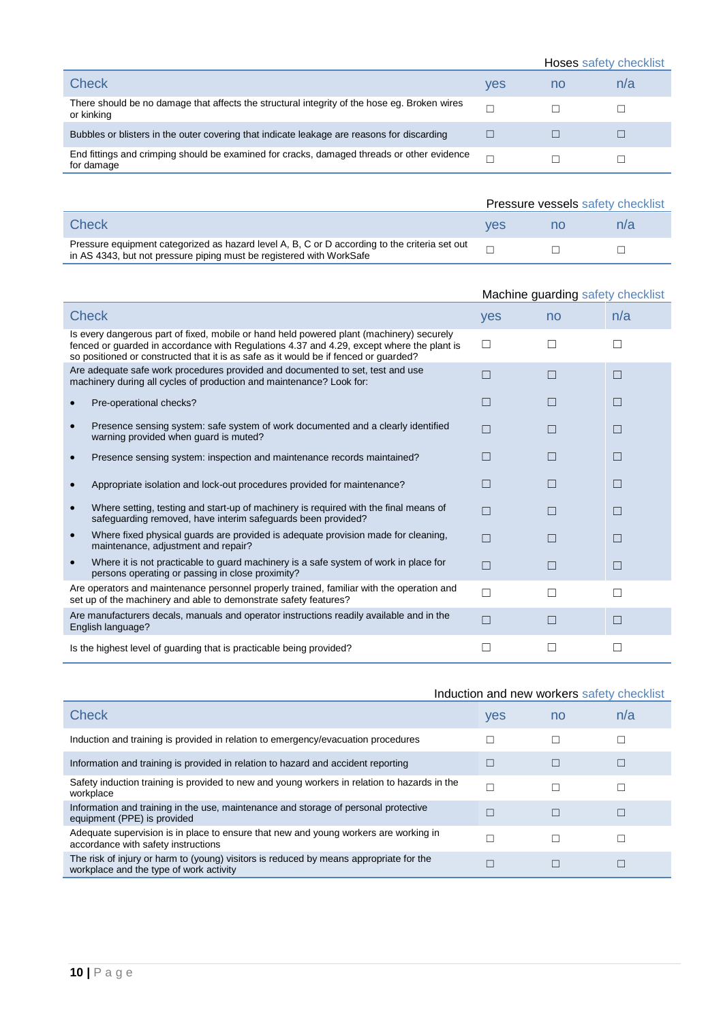|                                                                                                            |            | Hoses safety checklist |     |
|------------------------------------------------------------------------------------------------------------|------------|------------------------|-----|
| Check                                                                                                      | <b>ves</b> | no                     | n/a |
| There should be no damage that affects the structural integrity of the hose eg. Broken wires<br>or kinking | ┍          |                        |     |
| Bubbles or blisters in the outer covering that indicate leakage are reasons for discarding                 |            |                        |     |
| End fittings and crimping should be examined for cracks, damaged threads or other evidence<br>for damage   |            |                        |     |

|                                                                                                                                                                       | Pressure vessels safety checklist |  |     |
|-----------------------------------------------------------------------------------------------------------------------------------------------------------------------|-----------------------------------|--|-----|
| Check                                                                                                                                                                 | ves                               |  | n/a |
| Pressure equipment categorized as hazard level A, B, C or D according to the criteria set out<br>in AS 4343, but not pressure piping must be registered with WorkSafe |                                   |  |     |

|                                                                                                                                                                                                                                                                               | Machine guarding safety checklist |    |              |
|-------------------------------------------------------------------------------------------------------------------------------------------------------------------------------------------------------------------------------------------------------------------------------|-----------------------------------|----|--------------|
| <b>Check</b>                                                                                                                                                                                                                                                                  | yes                               | no | n/a          |
| Is every dangerous part of fixed, mobile or hand held powered plant (machinery) securely<br>fenced or guarded in accordance with Regulations 4.37 and 4.29, except where the plant is<br>so positioned or constructed that it is as safe as it would be if fenced or guarded? | П                                 | ΙI | $\mathbf{I}$ |
| Are adequate safe work procedures provided and documented to set, test and use<br>machinery during all cycles of production and maintenance? Look for:                                                                                                                        | П                                 | П  | П            |
| Pre-operational checks?                                                                                                                                                                                                                                                       | П                                 |    | П            |
| Presence sensing system: safe system of work documented and a clearly identified<br>warning provided when guard is muted?                                                                                                                                                     | П                                 | ⊓  | П            |
| Presence sensing system: inspection and maintenance records maintained?                                                                                                                                                                                                       | П                                 |    | П            |
| Appropriate isolation and lock-out procedures provided for maintenance?                                                                                                                                                                                                       | П                                 |    | П            |
| Where setting, testing and start-up of machinery is required with the final means of<br>safeguarding removed, have interim safeguards been provided?                                                                                                                          | $\Box$                            |    | П            |
| Where fixed physical guards are provided is adequate provision made for cleaning,<br>$\bullet$<br>maintenance, adjustment and repair?                                                                                                                                         | П                                 | ⊓  | П            |
| Where it is not practicable to guard machinery is a safe system of work in place for<br>$\bullet$<br>persons operating or passing in close proximity?                                                                                                                         | $\Box$                            |    | П            |
| Are operators and maintenance personnel properly trained, familiar with the operation and<br>set up of the machinery and able to demonstrate safety features?                                                                                                                 | П                                 |    |              |
| Are manufacturers decals, manuals and operator instructions readily available and in the<br>English language?                                                                                                                                                                 | $\Box$                            |    | П            |
| Is the highest level of guarding that is practicable being provided?                                                                                                                                                                                                          |                                   |    |              |

|                                                                                                                                   |     | Induction and new workers safety checklist |     |
|-----------------------------------------------------------------------------------------------------------------------------------|-----|--------------------------------------------|-----|
| Check                                                                                                                             | yes | no                                         | n/a |
| Induction and training is provided in relation to emergency/evacuation procedures                                                 | г   | П                                          |     |
| Information and training is provided in relation to hazard and accident reporting                                                 | П   | Ш                                          | Ш   |
| Safety induction training is provided to new and young workers in relation to hazards in the<br>workplace                         | г   |                                            |     |
| Information and training in the use, maintenance and storage of personal protective<br>equipment (PPE) is provided                | Г   | П                                          | г   |
| Adequate supervision is in place to ensure that new and young workers are working in<br>accordance with safety instructions       |     |                                            |     |
| The risk of injury or harm to (young) visitors is reduced by means appropriate for the<br>workplace and the type of work activity | Г   |                                            |     |